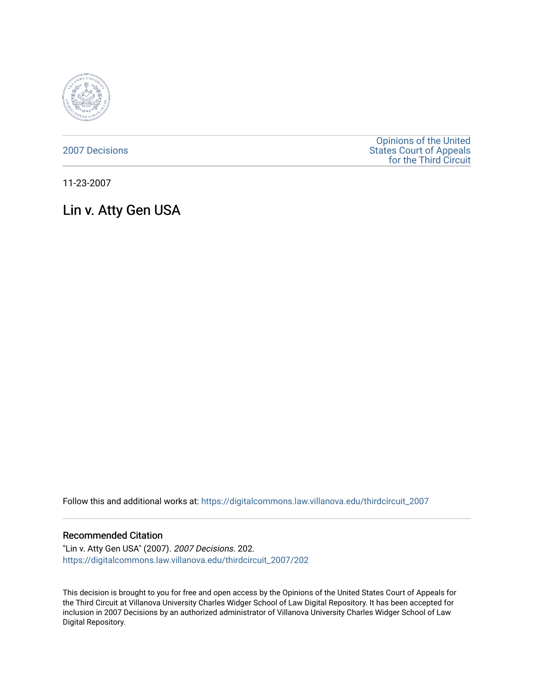

[2007 Decisions](https://digitalcommons.law.villanova.edu/thirdcircuit_2007)

[Opinions of the United](https://digitalcommons.law.villanova.edu/thirdcircuit)  [States Court of Appeals](https://digitalcommons.law.villanova.edu/thirdcircuit)  [for the Third Circuit](https://digitalcommons.law.villanova.edu/thirdcircuit) 

11-23-2007

# Lin v. Atty Gen USA

Follow this and additional works at: [https://digitalcommons.law.villanova.edu/thirdcircuit\\_2007](https://digitalcommons.law.villanova.edu/thirdcircuit_2007?utm_source=digitalcommons.law.villanova.edu%2Fthirdcircuit_2007%2F202&utm_medium=PDF&utm_campaign=PDFCoverPages) 

#### Recommended Citation

"Lin v. Atty Gen USA" (2007). 2007 Decisions. 202. [https://digitalcommons.law.villanova.edu/thirdcircuit\\_2007/202](https://digitalcommons.law.villanova.edu/thirdcircuit_2007/202?utm_source=digitalcommons.law.villanova.edu%2Fthirdcircuit_2007%2F202&utm_medium=PDF&utm_campaign=PDFCoverPages)

This decision is brought to you for free and open access by the Opinions of the United States Court of Appeals for the Third Circuit at Villanova University Charles Widger School of Law Digital Repository. It has been accepted for inclusion in 2007 Decisions by an authorized administrator of Villanova University Charles Widger School of Law Digital Repository.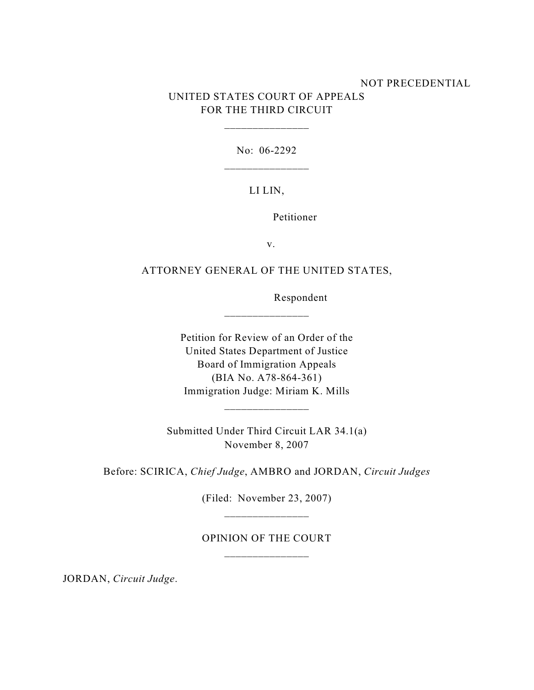### NOT PRECEDENTIAL UNITED STATES COURT OF APPEALS FOR THE THIRD CIRCUIT

No: 06-2292

\_\_\_\_\_\_\_\_\_\_\_\_\_\_\_

### LI LIN,

Petitioner

v.

# ATTORNEY GENERAL OF THE UNITED STATES,

\_\_\_\_\_\_\_\_\_\_\_\_\_\_\_

Respondent

Petition for Review of an Order of the United States Department of Justice Board of Immigration Appeals (BIA No. A78-864-361) Immigration Judge: Miriam K. Mills

Submitted Under Third Circuit LAR 34.1(a) November 8, 2007

Before: SCIRICA, *Chief Judge*, AMBRO and JORDAN, *Circuit Judges*

(Filed: November 23, 2007) \_\_\_\_\_\_\_\_\_\_\_\_\_\_\_

## OPINION OF THE COURT

JORDAN, *Circuit Judge*.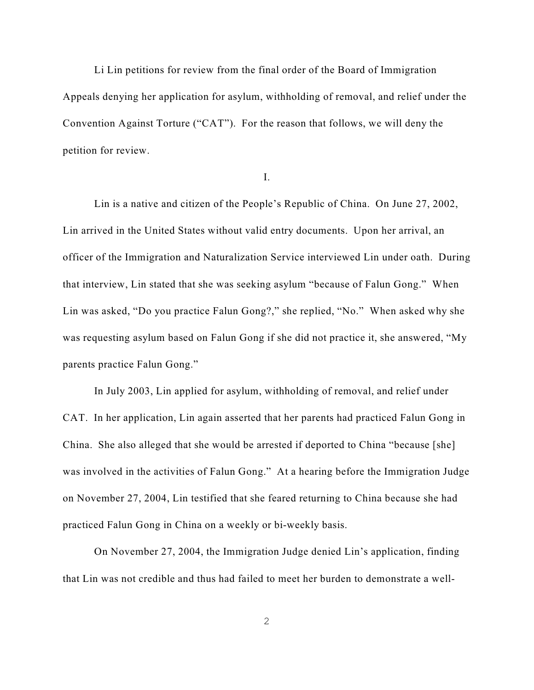Li Lin petitions for review from the final order of the Board of Immigration Appeals denying her application for asylum, withholding of removal, and relief under the Convention Against Torture ("CAT"). For the reason that follows, we will deny the petition for review.

I.

Lin is a native and citizen of the People's Republic of China. On June 27, 2002, Lin arrived in the United States without valid entry documents. Upon her arrival, an officer of the Immigration and Naturalization Service interviewed Lin under oath. During that interview, Lin stated that she was seeking asylum "because of Falun Gong." When Lin was asked, "Do you practice Falun Gong?," she replied, "No." When asked why she was requesting asylum based on Falun Gong if she did not practice it, she answered, "My parents practice Falun Gong."

In July 2003, Lin applied for asylum, withholding of removal, and relief under CAT. In her application, Lin again asserted that her parents had practiced Falun Gong in China. She also alleged that she would be arrested if deported to China "because [she] was involved in the activities of Falun Gong." At a hearing before the Immigration Judge on November 27, 2004, Lin testified that she feared returning to China because she had practiced Falun Gong in China on a weekly or bi-weekly basis.

On November 27, 2004, the Immigration Judge denied Lin's application, finding that Lin was not credible and thus had failed to meet her burden to demonstrate a well